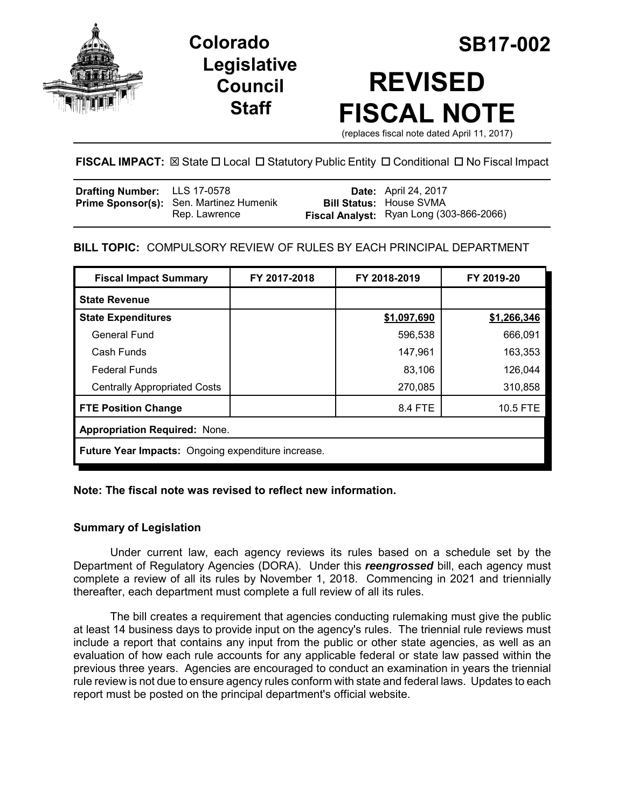

**Legislative Council Staff**

# **Colorado SB17-002 REVISED FISCAL NOTE**

(replaces fiscal note dated April 11, 2017)

# **FISCAL IMPACT:** ⊠ State □ Local □ Statutory Public Entity □ Conditional □ No Fiscal Impact

| <b>Drafting Number:</b> LLS 17-0578 |                                         | <b>Date:</b> April 24, 2017              |
|-------------------------------------|-----------------------------------------|------------------------------------------|
|                                     | Prime Sponsor(s): Sen. Martinez Humenik | <b>Bill Status: House SVMA</b>           |
|                                     | Rep. Lawrence                           | Fiscal Analyst: Ryan Long (303-866-2066) |

# **BILL TOPIC:** COMPULSORY REVIEW OF RULES BY EACH PRINCIPAL DEPARTMENT

| <b>Fiscal Impact Summary</b>                              | FY 2017-2018 | FY 2018-2019 | FY 2019-20  |  |  |
|-----------------------------------------------------------|--------------|--------------|-------------|--|--|
| <b>State Revenue</b>                                      |              |              |             |  |  |
| <b>State Expenditures</b>                                 |              | \$1,097,690  | \$1,266,346 |  |  |
| <b>General Fund</b>                                       |              | 596,538      | 666,091     |  |  |
| Cash Funds                                                |              | 147,961      | 163,353     |  |  |
| <b>Federal Funds</b>                                      |              | 83,106       | 126,044     |  |  |
| <b>Centrally Appropriated Costs</b>                       |              | 270,085      | 310,858     |  |  |
| <b>FTE Position Change</b>                                |              | 8.4 FTE      | 10.5 FTE    |  |  |
| <b>Appropriation Required: None.</b>                      |              |              |             |  |  |
| <b>Future Year Impacts:</b> Ongoing expenditure increase. |              |              |             |  |  |

## **Note: The fiscal note was revised to reflect new information.**

## **Summary of Legislation**

Under current law, each agency reviews its rules based on a schedule set by the Department of Regulatory Agencies (DORA). Under this *reengrossed* bill, each agency must complete a review of all its rules by November 1, 2018. Commencing in 2021 and triennially thereafter, each department must complete a full review of all its rules.

The bill creates a requirement that agencies conducting rulemaking must give the public at least 14 business days to provide input on the agency's rules. The triennial rule reviews must include a report that contains any input from the public or other state agencies, as well as an evaluation of how each rule accounts for any applicable federal or state law passed within the previous three years. Agencies are encouraged to conduct an examination in years the triennial rule review is not due to ensure agency rules conform with state and federal laws. Updates to each report must be posted on the principal department's official website.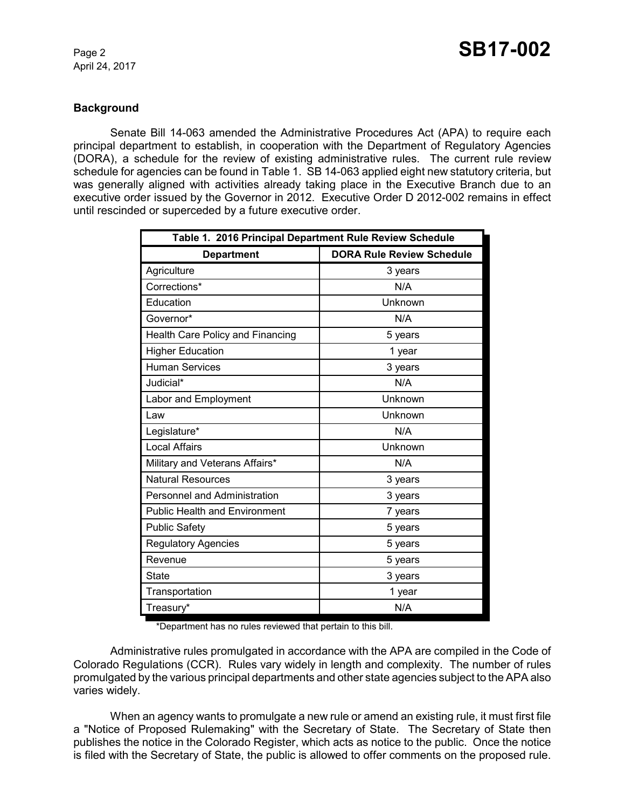#### **Background**

Senate Bill 14-063 amended the Administrative Procedures Act (APA) to require each principal department to establish, in cooperation with the Department of Regulatory Agencies (DORA), a schedule for the review of existing administrative rules. The current rule review schedule for agencies can be found in Table 1. SB 14-063 applied eight new statutory criteria, but was generally aligned with activities already taking place in the Executive Branch due to an executive order issued by the Governor in 2012. Executive Order D 2012-002 remains in effect until rescinded or superceded by a future executive order.

| Table 1. 2016 Principal Department Rule Review Schedule |                                  |  |  |
|---------------------------------------------------------|----------------------------------|--|--|
| <b>Department</b>                                       | <b>DORA Rule Review Schedule</b> |  |  |
| Agriculture                                             | 3 years                          |  |  |
| Corrections*                                            | N/A                              |  |  |
| Education                                               | Unknown                          |  |  |
| Governor*                                               | N/A                              |  |  |
| Health Care Policy and Financing                        | 5 years                          |  |  |
| <b>Higher Education</b>                                 | 1 year                           |  |  |
| <b>Human Services</b>                                   | 3 years                          |  |  |
| Judicial*                                               | N/A                              |  |  |
| Labor and Employment                                    | Unknown                          |  |  |
| Law                                                     | Unknown                          |  |  |
| Legislature*                                            | N/A                              |  |  |
| <b>Local Affairs</b>                                    | Unknown                          |  |  |
| Military and Veterans Affairs*                          | N/A                              |  |  |
| <b>Natural Resources</b>                                | 3 years                          |  |  |
| Personnel and Administration                            | 3 years                          |  |  |
| <b>Public Health and Environment</b>                    | 7 years                          |  |  |
| <b>Public Safety</b>                                    | 5 years                          |  |  |
| <b>Regulatory Agencies</b>                              | 5 years                          |  |  |
| Revenue                                                 | 5 years                          |  |  |
| State                                                   | 3 years                          |  |  |
| Transportation                                          | 1 year                           |  |  |
| Treasury*                                               | N/A                              |  |  |

\*Department has no rules reviewed that pertain to this bill.

Administrative rules promulgated in accordance with the APA are compiled in the Code of Colorado Regulations (CCR). Rules vary widely in length and complexity. The number of rules promulgated by the various principal departments and other state agencies subject to the APA also varies widely.

When an agency wants to promulgate a new rule or amend an existing rule, it must first file a "Notice of Proposed Rulemaking" with the Secretary of State. The Secretary of State then publishes the notice in the Colorado Register, which acts as notice to the public. Once the notice is filed with the Secretary of State, the public is allowed to offer comments on the proposed rule.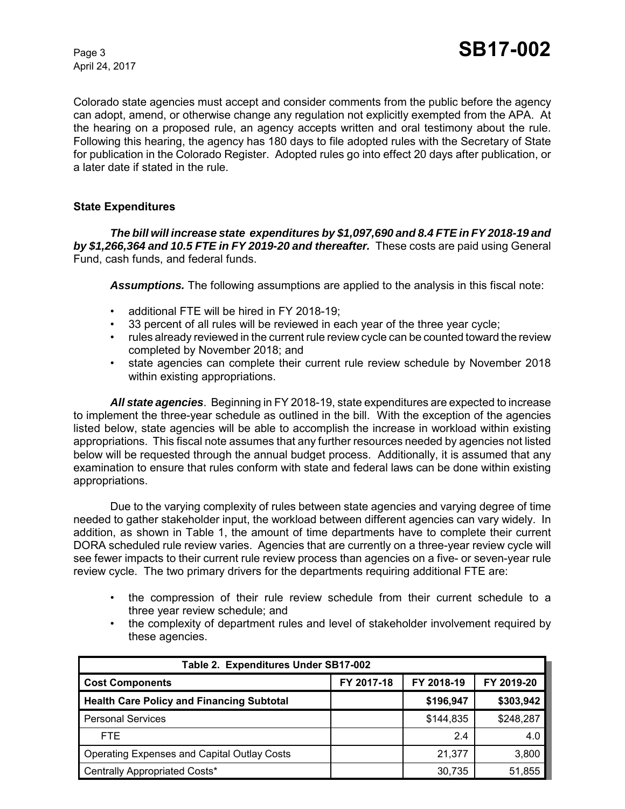Colorado state agencies must accept and consider comments from the public before the agency can adopt, amend, or otherwise change any regulation not explicitly exempted from the APA. At the hearing on a proposed rule, an agency accepts written and oral testimony about the rule. Following this hearing, the agency has 180 days to file adopted rules with the Secretary of State for publication in the Colorado Register. Adopted rules go into effect 20 days after publication, or a later date if stated in the rule.

#### **State Expenditures**

*The bill will increase state expenditures by \$1,097,690 and 8.4 FTE in FY 2018-19 and by \$1,266,364 and 10.5 FTE in FY 2019-20 and thereafter.* These costs are paid using General Fund, cash funds, and federal funds.

*Assumptions.* The following assumptions are applied to the analysis in this fiscal note:

- additional FTE will be hired in FY 2018-19;
- 33 percent of all rules will be reviewed in each year of the three year cycle;
- rules already reviewed in the current rule review cycle can be counted toward the review completed by November 2018; and
- state agencies can complete their current rule review schedule by November 2018 within existing appropriations.

*All state agencies*. Beginning in FY 2018-19, state expenditures are expected to increase to implement the three-year schedule as outlined in the bill. With the exception of the agencies listed below, state agencies will be able to accomplish the increase in workload within existing appropriations. This fiscal note assumes that any further resources needed by agencies not listed below will be requested through the annual budget process. Additionally, it is assumed that any examination to ensure that rules conform with state and federal laws can be done within existing appropriations.

Due to the varying complexity of rules between state agencies and varying degree of time needed to gather stakeholder input, the workload between different agencies can vary widely. In addition, as shown in Table 1, the amount of time departments have to complete their current DORA scheduled rule review varies. Agencies that are currently on a three-year review cycle will see fewer impacts to their current rule review process than agencies on a five- or seven-year rule review cycle. The two primary drivers for the departments requiring additional FTE are:

- the compression of their rule review schedule from their current schedule to a three year review schedule; and
- the complexity of department rules and level of stakeholder involvement required by these agencies.

| Table 2. Expenditures Under SB17-002               |            |            |            |
|----------------------------------------------------|------------|------------|------------|
| <b>Cost Components</b>                             | FY 2017-18 | FY 2018-19 | FY 2019-20 |
| <b>Health Care Policy and Financing Subtotal</b>   |            | \$196,947  | \$303,942  |
| <b>Personal Services</b>                           |            | \$144,835  | \$248,287  |
| FTE.                                               |            | 2.4        | 4.0        |
| <b>Operating Expenses and Capital Outlay Costs</b> |            | 21.377     | 3,800      |
| Centrally Appropriated Costs*                      |            | 30,735     | 51,855     |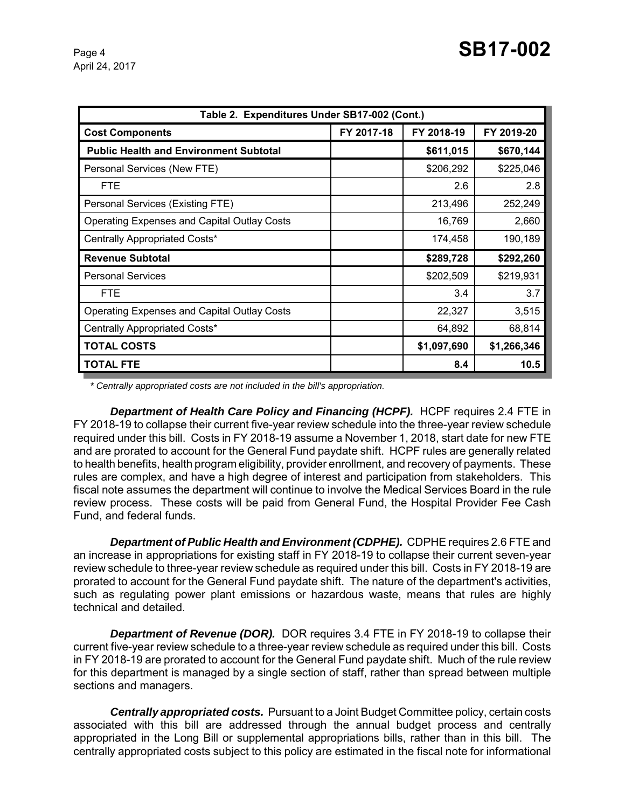| Table 2. Expenditures Under SB17-002 (Cont.)       |            |             |             |
|----------------------------------------------------|------------|-------------|-------------|
| <b>Cost Components</b>                             | FY 2017-18 | FY 2018-19  | FY 2019-20  |
| <b>Public Health and Environment Subtotal</b>      |            | \$611,015   | \$670,144   |
| Personal Services (New FTE)                        |            | \$206,292   | \$225,046   |
| <b>FTE</b>                                         |            | 2.6         | 2.8         |
| Personal Services (Existing FTE)                   |            | 213,496     | 252,249     |
| <b>Operating Expenses and Capital Outlay Costs</b> |            | 16,769      | 2,660       |
| Centrally Appropriated Costs*                      |            | 174,458     | 190,189     |
| <b>Revenue Subtotal</b>                            |            | \$289,728   | \$292,260   |
| <b>Personal Services</b>                           |            | \$202,509   | \$219,931   |
| <b>FTE</b>                                         |            | 3.4         | 3.7         |
| <b>Operating Expenses and Capital Outlay Costs</b> |            | 22,327      | 3,515       |
| Centrally Appropriated Costs*                      |            | 64,892      | 68,814      |
| <b>TOTAL COSTS</b>                                 |            | \$1,097,690 | \$1,266,346 |
| <b>TOTAL FTE</b>                                   |            | 8.4         | 10.5        |

*\* Centrally appropriated costs are not included in the bill's appropriation.*

**Department of Health Care Policy and Financing (HCPF).** HCPF requires 2.4 FTE in FY 2018-19 to collapse their current five-year review schedule into the three-year review schedule required under this bill. Costs in FY 2018-19 assume a November 1, 2018, start date for new FTE and are prorated to account for the General Fund paydate shift. HCPF rules are generally related to health benefits, health program eligibility, provider enrollment, and recovery of payments. These rules are complex, and have a high degree of interest and participation from stakeholders. This fiscal note assumes the department will continue to involve the Medical Services Board in the rule review process. These costs will be paid from General Fund, the Hospital Provider Fee Cash Fund, and federal funds.

*Department of Public Health and Environment (CDPHE).* CDPHE requires 2.6 FTE and an increase in appropriations for existing staff in FY 2018-19 to collapse their current seven-year review schedule to three-year review schedule as required under this bill. Costs in FY 2018-19 are prorated to account for the General Fund paydate shift. The nature of the department's activities, such as regulating power plant emissions or hazardous waste, means that rules are highly technical and detailed.

**Department of Revenue (DOR).** DOR requires 3.4 FTE in FY 2018-19 to collapse their current five-year review schedule to a three-year review schedule as required under this bill. Costs in FY 2018-19 are prorated to account for the General Fund paydate shift. Much of the rule review for this department is managed by a single section of staff, rather than spread between multiple sections and managers.

*Centrally appropriated costs.* Pursuant to a Joint Budget Committee policy, certain costs associated with this bill are addressed through the annual budget process and centrally appropriated in the Long Bill or supplemental appropriations bills, rather than in this bill. The centrally appropriated costs subject to this policy are estimated in the fiscal note for informational